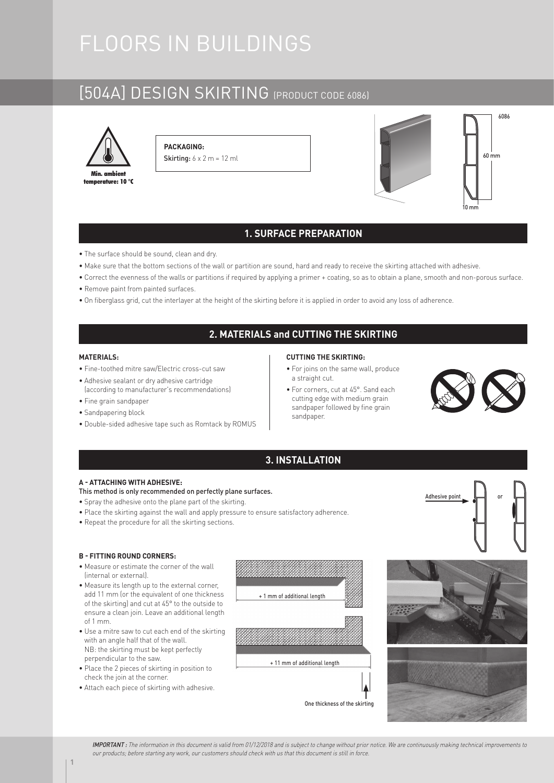# FLOORS IN BUILDINGS

# [504A] DESIGN SKIRTING (PRODUCT CODE 6086)



**PACKAGING: Skirting:**  $6 \times 2$  m = 12 ml



### **1. SURFACE PREPARATION**

- The surface should be sound, clean and dry.
- Make sure that the bottom sections of the wall or partition are sound, hard and ready to receive the skirting attached with adhesive.
- Correct the evenness of the walls or partitions if required by applying a primer + coating, so as to obtain a plane, smooth and non-porous surface.
- Remove paint from painted surfaces.
- On fiberglass grid, cut the interlayer at the height of the skirting before it is applied in order to avoid any loss of adherence.

## **2. MATERIALS and CUTTING THE SKIRTING**

#### **MATERIALS:**

- Fine-toothed mitre saw/Electric cross-cut saw
- Adhesive sealant or dry adhesive cartridge (according to manufacturer's recommendations)
- Fine grain sandpaper
- Sandpapering block
- Double-sided adhesive tape such as Romtack by ROMUS

#### **CUTTING THE SKIRTING:**

- For joins on the same wall, produce a straight cut.
- For corners, cut at 45°. Sand each cutting edge with medium grain sandpaper followed by fine grain sandpaper.



## **3. INSTALLATION**

#### **A - ATTACHING WITH ADHESIVE:**

#### This method is only recommended on perfectly plane surfaces.

- Spray the adhesive onto the plane part of the skirting.
- Place the skirting against the wall and apply pressure to ensure satisfactory adherence.
- Repeat the procedure for all the skirting sections.

#### **B - FITTING ROUND CORNERS:**

- Measure or estimate the corner of the wall (internal or external).
- Measure its length up to the external corner, add 11 mm (or the equivalent of one thickness of the skirting) and cut at 45° to the outside to ensure a clean join. Leave an additional length of 1 mm.
- Use a mitre saw to cut each end of the skirting with an angle half that of the wall. NB: the skirting must be kept perfectly perpendicular to the saw.
- Place the 2 pieces of skirting in position to check the join at the corner.
- Attach each piece of skirting with adhesive.





Adhesive point

IMPORTANT : The information in this document is valid from 01/12/2018 and is subject to change without prior notice. We are continuously making technical improvements to our products; before starting any work, our customers should check with us that this document is still in force.